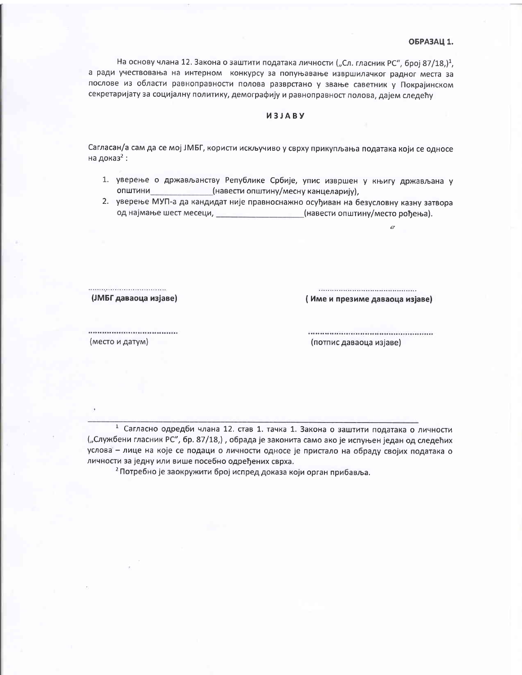На основу члана 12. Закона о заштити података личности ("Сл. гласник РС", број 87/18,)<sup>1</sup>, а ради учествовања на интерном конкурсу за попуњавање извршилачког радног места за послове из области равноправности полова разврстано у звање саветник у Покрајинском секретаријату за социјалну политику, демографију и равноправност полова, дајем следећу

## *USIARV*

Сагласан/а сам да се мој ЈМБГ, користи искључиво у сврху прикупљања података који се односе на доказ<sup>2</sup>:

- 1. уверење о држављанству Републике Србије, упис извршен у књигу држављана у (навести општину/месну канцеларију), ОПШТИНИ
- 2. уверење МУП-а да кандидат није правноснажно осуђиван на безусловну казну затвора од најмање шест месеци, и последате и стала (навести општину/место рођења).

(ЈМБГ даваоца изјаве)

(Име и презиме даваоца изјаве)

 $\hat{U}$ 

(место и датум)

(потпис даваоца изјаве)

1 Сагласно одредби члана 12. став 1. тачка 1. Закона о заштити података о личности ("Службени гласник РС", бр. 87/18,), обрада је законита само ако је испуњен један од следећих услова - лице на које се подаци о личности односе је пристало на обраду својих података о личности за једну или више посебно одређених сврха.

<sup>2</sup> Потребно је заокружити број испред доказа који орган прибавља.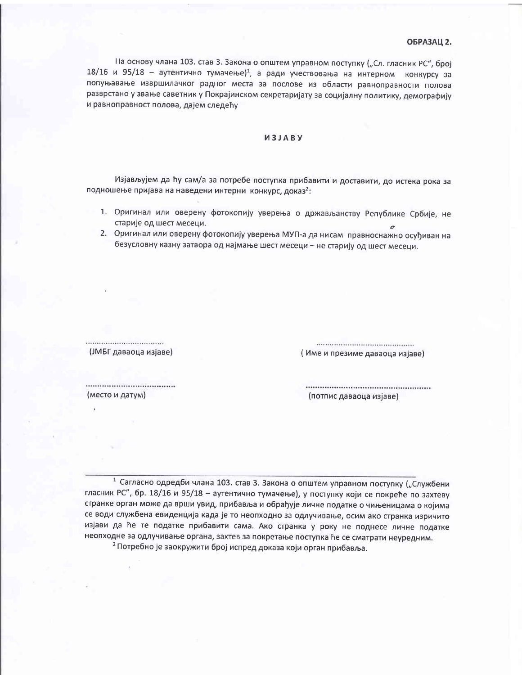## ОБРАЗАЦ 2.

На основу члана 103. став 3. Закона о општем управном поступку ("Сл. гласник РС", број 18/16 и 95/18 - аутентично тумачење)<sup>1</sup>, а ради учествовања на интерном конкурсу за попуњавање извршилачког радног места за послове из области равноправности полова разврстано у звање саветник у Покрајинском секретаријату за социјалну политику, демографију и равноправност полова, дајем следећу

## *U3JABY*

Изјављујем да ћу сам/а за потребе поступка прибавити и доставити, до истека рока за подношење пријава на наведени интерни конкурс, доказ<sup>2</sup>:

- 1. Оригинал или оверену фотокопију уверења о држављанству Републике Србије, не старије од шест месеци.
- 2. Оригинал или оверену фотокопију уверења МУП-а да нисам правноснажно осуђиван на безусловну казну затвора од најмање шест месеци - не старију од шест месеци.

(ЈМБГ даваоца изјаве)

(Име и презиме даваоца изјаве)

(место и датум)

(потпис даваоца изјаве)

1 Сагласно одредби члана 103. став 3. Закона о општем управном поступку ("Службени гласник РС", бр. 18/16 и 95/18 - аутентично тумачење), у поступку који се покреће по захтеву странке орган може да врши увид, прибавља и обрађује личне податке о чињеницама о којима се води службена евиденција када је то неопходно за одлучивање, осим ако странка изричито изјави да ће те податке прибавити сама. Ако странка у року не поднесе личне податке неопходне за одлучивање органа, захтев за покретање поступка ће се сматрати неуредним. <sup>2</sup> Потребно је заокружити број испред доказа који орган прибавља.